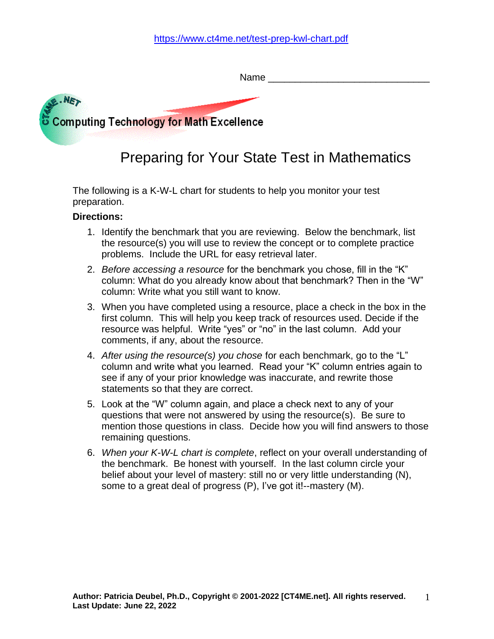|                                          | Name |
|------------------------------------------|------|
| AF. NET                                  |      |
| Computing Technology for Math Excellence |      |

# Preparing for Your State Test in Mathematics

The following is a K-W-L chart for students to help you monitor your test preparation.

#### **Directions:**

- 1. Identify the benchmark that you are reviewing. Below the benchmark, list the resource(s) you will use to review the concept or to complete practice problems. Include the URL for easy retrieval later.
- 2. *Before accessing a resource* for the benchmark you chose, fill in the "K" column: What do you already know about that benchmark? Then in the "W" column: Write what you still want to know.
- 3. When you have completed using a resource, place a check in the box in the first column. This will help you keep track of resources used. Decide if the resource was helpful. Write "yes" or "no" in the last column. Add your comments, if any, about the resource.
- 4. *After using the resource(s) you chose* for each benchmark, go to the "L" column and write what you learned. Read your "K" column entries again to see if any of your prior knowledge was inaccurate, and rewrite those statements so that they are correct.
- 5. Look at the "W" column again, and place a check next to any of your questions that were not answered by using the resource(s). Be sure to mention those questions in class. Decide how you will find answers to those remaining questions.
- 6. *When your K-W-L chart is complete*, reflect on your overall understanding of the benchmark. Be honest with yourself. In the last column circle your belief about your level of mastery: still no or very little understanding (N), some to a great deal of progress (P), I've got it!--mastery (M).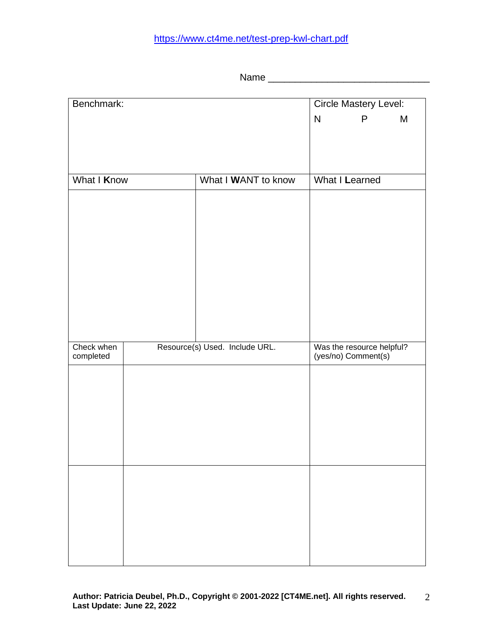## <https://www.ct4me.net/test-prep-kwl-chart.pdf>

Name \_\_\_\_\_\_\_\_\_\_\_\_\_\_\_\_\_\_\_\_\_\_\_\_\_\_\_\_\_\_

| Benchmark:  |  | <b>Circle Mastery Level:</b>   |                |                           |  |  |
|-------------|--|--------------------------------|----------------|---------------------------|--|--|
|             |  | $\mathsf{N}$                   | P              | M                         |  |  |
|             |  |                                |                |                           |  |  |
|             |  |                                |                |                           |  |  |
|             |  |                                |                |                           |  |  |
| What I Know |  | What I WANT to know            | What I Learned |                           |  |  |
|             |  |                                |                |                           |  |  |
|             |  |                                |                |                           |  |  |
|             |  |                                |                |                           |  |  |
|             |  |                                |                |                           |  |  |
|             |  |                                |                |                           |  |  |
|             |  |                                |                |                           |  |  |
|             |  |                                |                |                           |  |  |
|             |  |                                |                |                           |  |  |
|             |  |                                |                |                           |  |  |
|             |  |                                |                |                           |  |  |
| Check when  |  | Resource(s) Used. Include URL. |                | Was the resource helpful? |  |  |
| completed   |  |                                |                | (yes/no) Comment(s)       |  |  |
|             |  |                                |                |                           |  |  |
|             |  |                                |                |                           |  |  |
|             |  |                                |                |                           |  |  |
|             |  |                                |                |                           |  |  |
|             |  |                                |                |                           |  |  |
|             |  |                                |                |                           |  |  |
|             |  |                                |                |                           |  |  |
|             |  |                                |                |                           |  |  |
|             |  |                                |                |                           |  |  |
|             |  |                                |                |                           |  |  |
|             |  |                                |                |                           |  |  |
|             |  |                                |                |                           |  |  |
|             |  |                                |                |                           |  |  |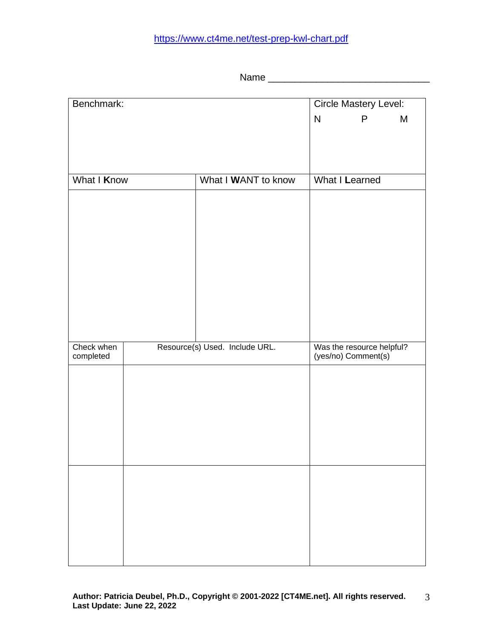## <https://www.ct4me.net/test-prep-kwl-chart.pdf>

Name \_\_\_\_\_\_\_\_\_\_\_\_\_\_\_\_\_\_\_\_\_\_\_\_\_\_\_\_\_\_

| Benchmark: |                                    |                                | <b>Circle Mastery Level:</b> |                           |  |  |  |
|------------|------------------------------------|--------------------------------|------------------------------|---------------------------|--|--|--|
|            |                                    | $\mathsf{N}$                   | P                            | M                         |  |  |  |
|            |                                    |                                |                              |                           |  |  |  |
|            |                                    |                                |                              |                           |  |  |  |
|            |                                    |                                |                              |                           |  |  |  |
|            | What I Know<br>What I WANT to know |                                |                              | What I Learned            |  |  |  |
|            |                                    |                                |                              |                           |  |  |  |
|            |                                    |                                |                              |                           |  |  |  |
|            |                                    |                                |                              |                           |  |  |  |
|            |                                    |                                |                              |                           |  |  |  |
|            |                                    |                                |                              |                           |  |  |  |
|            |                                    |                                |                              |                           |  |  |  |
|            |                                    |                                |                              |                           |  |  |  |
|            |                                    |                                |                              |                           |  |  |  |
|            |                                    |                                |                              |                           |  |  |  |
|            |                                    |                                |                              |                           |  |  |  |
| Check when |                                    | Resource(s) Used. Include URL. |                              | Was the resource helpful? |  |  |  |
| completed  |                                    |                                |                              | (yes/no) Comment(s)       |  |  |  |
|            |                                    |                                |                              |                           |  |  |  |
|            |                                    |                                |                              |                           |  |  |  |
|            |                                    |                                |                              |                           |  |  |  |
|            |                                    |                                |                              |                           |  |  |  |
|            |                                    |                                |                              |                           |  |  |  |
|            |                                    |                                |                              |                           |  |  |  |
|            |                                    |                                |                              |                           |  |  |  |
|            |                                    |                                |                              |                           |  |  |  |
|            |                                    |                                |                              |                           |  |  |  |
|            |                                    |                                |                              |                           |  |  |  |
|            |                                    |                                |                              |                           |  |  |  |
|            |                                    |                                |                              |                           |  |  |  |
|            |                                    |                                |                              |                           |  |  |  |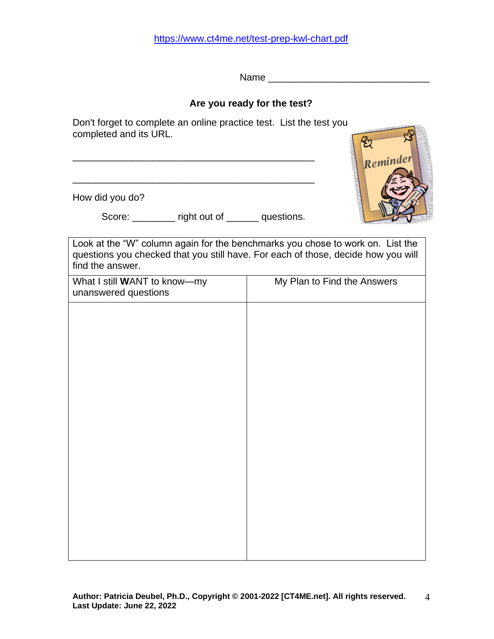Name \_\_\_\_\_\_\_\_\_\_\_\_\_\_\_\_\_\_\_\_\_\_\_\_\_\_\_\_\_\_

#### **Are you ready for the test?**

Don't forget to complete an online practice test. List the test you completed and its URL.

How did you do?

Score: \_\_\_\_\_\_\_\_ right out of \_\_\_\_\_\_ questions.

\_\_\_\_\_\_\_\_\_\_\_\_\_\_\_\_\_\_\_\_\_\_\_\_\_\_\_\_\_\_\_\_\_\_\_\_\_\_\_\_\_\_\_\_\_

Look at the "W" column again for the benchmarks you chose to work on. List the questions you checked that you still have. For each of those, decide how you will find the answer.

| My Plan to Find the Answers |  |  |
|-----------------------------|--|--|
|                             |  |  |
|                             |  |  |
|                             |  |  |
|                             |  |  |
|                             |  |  |
|                             |  |  |
|                             |  |  |
|                             |  |  |
|                             |  |  |
|                             |  |  |